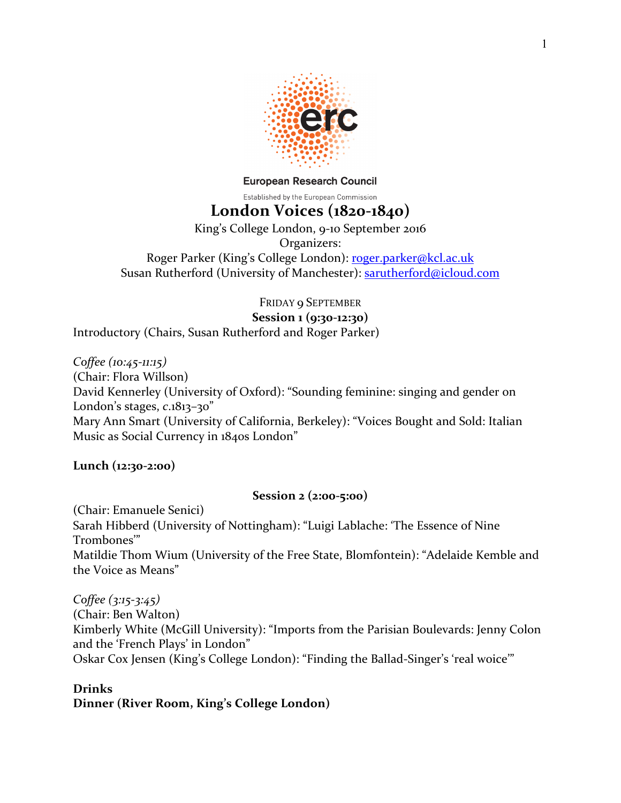

**European Research Council** Established by the European Commission

# **London Voices (1820-1840)**

King's College London, 9-10 September 2016 Organizers: Roger Parker (King's College London): roger.parker@kcl.ac.uk Susan Rutherford (University of Manchester): sarutherford@icloud.com

FRIDAY 9 SEPTEMBER **Session 1 (9:30-12:30)** Introductory (Chairs, Susan Rutherford and Roger Parker)

*Coffee (10:45-11:15)* (Chair: Flora Willson) David Kennerley (University of Oxford): "Sounding feminine: singing and gender on London's stages, *c*.1813–30" Mary Ann Smart (University of California, Berkeley): "Voices Bought and Sold: Italian Music as Social Currency in 1840s London"

**Lunch (12:30-2:00)**

# **Session 2 (2:00-5:00)**

(Chair: Emanuele Senici) Sarah Hibberd (University of Nottingham): "Luigi Lablache: 'The Essence of Nine Trombones'" Matildie Thom Wium (University of the Free State, Blomfontein): "Adelaide Kemble and the Voice as Means"

*Coffee (3:15-3:45)* (Chair: Ben Walton) Kimberly White (McGill University): "Imports from the Parisian Boulevards: Jenny Colon and the 'French Plays' in London" Oskar Cox Jensen (King's College London): "Finding the Ballad-Singer's 'real woice"

# **Drinks**

**Dinner** (River Room, King's College London)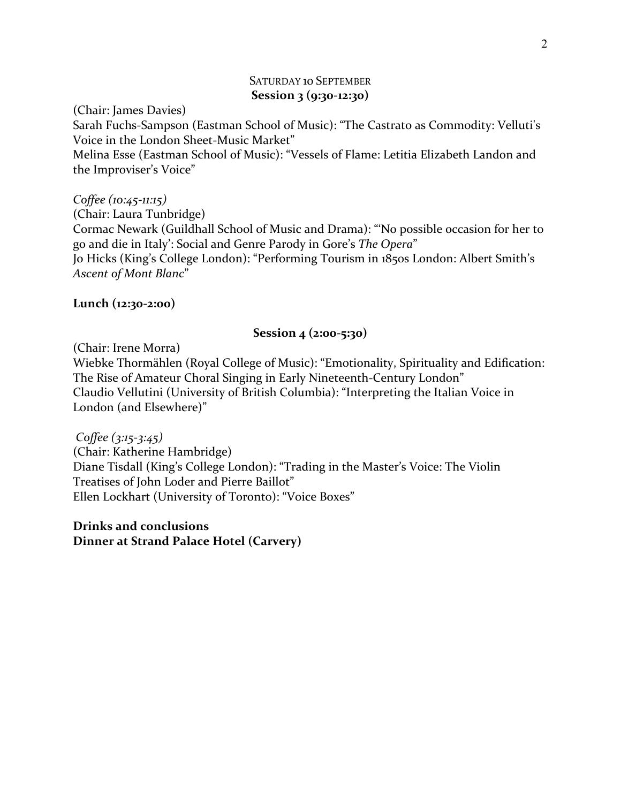# SATURDAY 10 SEPTEMBER **Session 3 (9:30-12:30)**

(Chair: James Davies)

Sarah Fuchs-Sampson (Eastman School of Music): "The Castrato as Commodity: Velluti's Voice in the London Sheet-Music Market"

Melina Esse (Eastman School of Music): "Vessels of Flame: Letitia Elizabeth Landon and the Improviser's Voice"

*Coffee (10:45-11:15)* (Chair: Laura Tunbridge) Cormac Newark (Guildhall School of Music and Drama): "No possible occasion for her to go and die in Italy': Social and Genre Parody in Gore's *The Opera*" Jo Hicks (King's College London): "Performing Tourism in 1850s London: Albert Smith's *Ascent of Mont Blanc*"

## **Lunch (12:30-2:00)**

## **Session 4 (2:00-5:30)**

(Chair: Irene Morra)

Wiebke Thormählen (Royal College of Music): "Emotionality, Spirituality and Edification: The Rise of Amateur Choral Singing in Early Nineteenth-Century London" Claudio Vellutini (University of British Columbia): "Interpreting the Italian Voice in London (and Elsewhere)"

*Coffee (3:15-3:45)* (Chair: Katherine Hambridge) Diane Tisdall (King's College London): "Trading in the Master's Voice: The Violin Treatises of John Loder and Pierre Baillot" Ellen Lockhart (University of Toronto): "Voice Boxes"

**Drinks and conclusions Dinner at Strand Palace Hotel (Carvery)**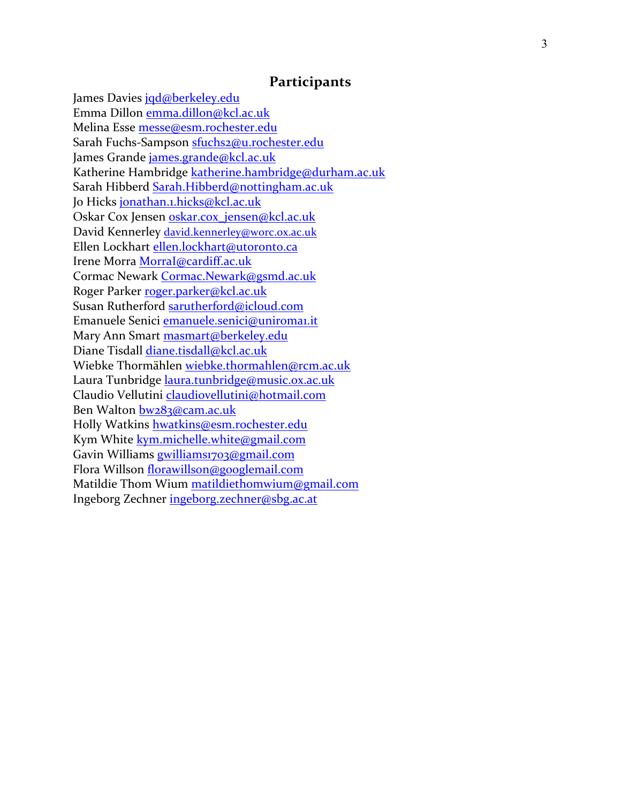## **Participants**

James Davies jqd@berkeley.edu Emma Dillon emma.dillon@kcl.ac.uk Melina Esse messe@esm.rochester.edu Sarah Fuchs-Sampson <u>sfuchs2@u.rochester.edu</u> James Grande james.grande@kcl.ac.uk Katherine Hambridge katherine.hambridge@durham.ac.uk Sarah Hibberd Sarah.Hibberd@nottingham.ac.uk Jo Hicks jonathan.1.hicks@kcl.ac.uk Oskar Cox Jensen oskar.cox\_jensen@kcl.ac.uk David Kennerley david.kennerley@worc.ox.ac.uk Ellen Lockhart ellen.lockhart@utoronto.ca Irene Morra MorraI@cardiff.ac.uk Cormac Newark Cormac.Newark@gsmd.ac.uk Roger Parker roger.parker@kcl.ac.uk Susan Rutherford sarutherford@icloud.com Emanuele Senici emanuele.senici@uniroma1.it Mary Ann Smart masmart@berkeley.edu Diane Tisdall diane.tisdall@kcl.ac.uk Wiebke Thormählen wiebke.thormahlen@rcm.ac.uk Laura Tunbridge laura.tunbridge@music.ox.ac.uk Claudio Vellutini claudiovellutini@hotmail.com Ben Walton bw283@cam.ac.uk Holly Watkins hwatkins@esm.rochester.edu Kym White kym.michelle.white@gmail.com Gavin Williams gwilliams1703@gmail.com Flora Willson florawillson@googlemail.com Matildie Thom Wium matildiethomwium@gmail.com Ingeborg Zechner ingeborg.zechner@sbg.ac.at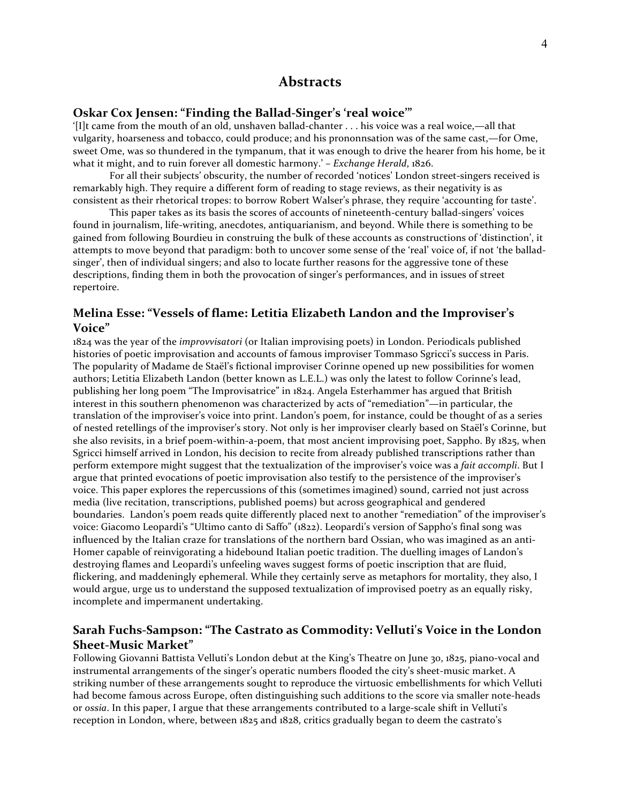#### **Abstracts**

#### **Oskar Cox Jensen: "Finding the Ballad-Singer's 'real woice'"**

'[I]t came from the mouth of an old, unshaven ballad-chanter  $\dots$  his voice was a real woice,—all that vulgarity, hoarseness and tobacco, could produce; and his prononnsation was of the same cast,—for Ome, sweet Ome, was so thundered in the tympanum, that it was enough to drive the hearer from his home, be it what it might, and to ruin forever all domestic harmony.' – *Exchange Herald*, 1826.

For all their subjects' obscurity, the number of recorded 'notices' London street-singers received is remarkably high. They require a different form of reading to stage reviews, as their negativity is as consistent as their rhetorical tropes: to borrow Robert Walser's phrase, they require 'accounting for taste'.

This paper takes as its basis the scores of accounts of nineteenth-century ballad-singers' voices found in journalism, life-writing, anecdotes, antiquarianism, and beyond. While there is something to be gained from following Bourdieu in construing the bulk of these accounts as constructions of 'distinction', it attempts to move beyond that paradigm: both to uncover some sense of the 'real' voice of, if not 'the balladsinger', then of individual singers; and also to locate further reasons for the aggressive tone of these descriptions, finding them in both the provocation of singer's performances, and in issues of street repertoire.

#### **Melina Esse: "Vessels of flame: Letitia Elizabeth Landon and the Improviser's Voice"**

1824 was the year of the *improvvisatori* (or Italian improvising poets) in London. Periodicals published histories of poetic improvisation and accounts of famous improviser Tommaso Sgricci's success in Paris. The popularity of Madame de Staël's fictional improviser Corinne opened up new possibilities for women authors; Letitia Elizabeth Landon (better known as L.E.L.) was only the latest to follow Corinne's lead, publishing her long poem "The Improvisatrice" in 1824. Angela Esterhammer has argued that British interest in this southern phenomenon was characterized by acts of "remediation"—in particular, the translation of the improviser's voice into print. Landon's poem, for instance, could be thought of as a series of nested retellings of the improviser's story. Not only is her improviser clearly based on Staël's Corinne, but she also revisits, in a brief poem-within-a-poem, that most ancient improvising poet, Sappho. By 1825, when Sgricci himself arrived in London, his decision to recite from already published transcriptions rather than perform extempore might suggest that the textualization of the improviser's voice was a *fait accompli*. But I argue that printed evocations of poetic improvisation also testify to the persistence of the improviser's voice. This paper explores the repercussions of this (sometimes imagined) sound, carried not just across media (live recitation, transcriptions, published poems) but across geographical and gendered boundaries. Landon's poem reads quite differently placed next to another "remediation" of the improviser's voice: Giacomo Leopardi's "Ultimo canto di Saffo" (1822). Leopardi's version of Sappho's final song was influenced by the Italian craze for translations of the northern bard Ossian, who was imagined as an anti-Homer capable of reinvigorating a hidebound Italian poetic tradition. The duelling images of Landon's destroying flames and Leopardi's unfeeling waves suggest forms of poetic inscription that are fluid, flickering, and maddeningly ephemeral. While they certainly serve as metaphors for mortality, they also, I would argue, urge us to understand the supposed textualization of improvised poetry as an equally risky, incomplete and impermanent undertaking.

#### **Sarah Fuchs-Sampson: "The Castrato as Commodity: Velluti's Voice in the London Sheet-Music Market"**

Following Giovanni Battista Velluti's London debut at the King's Theatre on June 30, 1825, piano-vocal and instrumental arrangements of the singer's operatic numbers flooded the city's sheet-music market. A striking number of these arrangements sought to reproduce the virtuosic embellishments for which Velluti had become famous across Europe, often distinguishing such additions to the score via smaller note-heads or *ossia*. In this paper, I argue that these arrangements contributed to a large-scale shift in Velluti's reception in London, where, between  $1825$  and  $1828$ , critics gradually began to deem the castrato's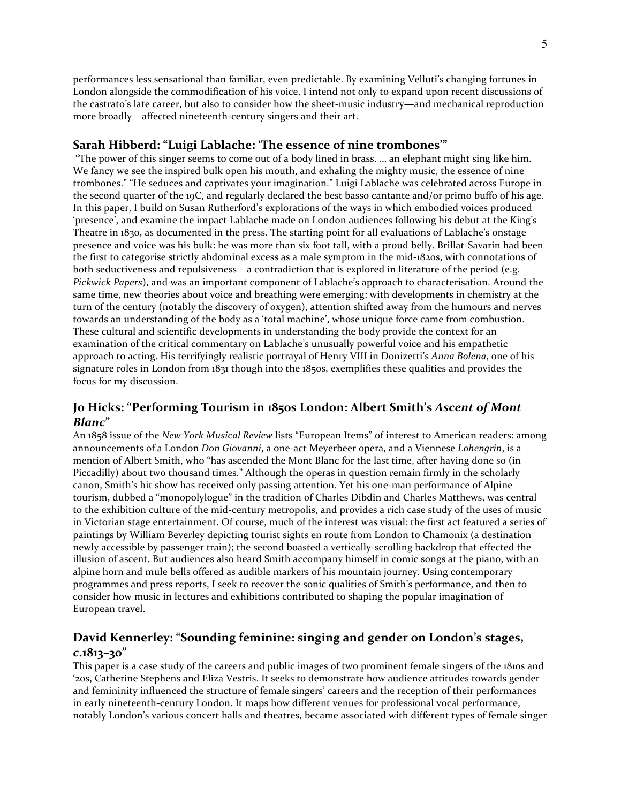performances less sensational than familiar, even predictable. By examining Velluti's changing fortunes in London alongside the commodification of his voice. I intend not only to expand upon recent discussions of the castrato's late career, but also to consider how the sheet-music industry—and mechanical reproduction more broadly—affected nineteenth-century singers and their art.

#### **Sarah Hibberd: "Luigi Lablache: 'The essence of nine trombones'"**

"The power of this singer seems to come out of a body lined in brass. ... an elephant might sing like him. We fancy we see the inspired bulk open his mouth, and exhaling the mighty music, the essence of nine trombones." "He seduces and captivates your imagination." Luigi Lablache was celebrated across Europe in the second quarter of the 19C, and regularly declared the best basso cantante and/or primo buffo of his age. In this paper, I build on Susan Rutherford's explorations of the ways in which embodied voices produced 'presence', and examine the impact Lablache made on London audiences following his debut at the King's Theatre in 1830, as documented in the press. The starting point for all evaluations of Lablache's onstage presence and voice was his bulk: he was more than six foot tall, with a proud belly. Brillat-Savarin had been the first to categorise strictly abdominal excess as a male symptom in the mid-1820s, with connotations of both seductiveness and repulsiveness – a contradiction that is explored in literature of the period (e.g. *Pickwick Papers*), and was an important component of Lablache's approach to characterisation. Around the same time, new theories about voice and breathing were emerging: with developments in chemistry at the turn of the century (notably the discovery of oxygen), attention shifted away from the humours and nerves towards an understanding of the body as a 'total machine', whose unique force came from combustion. These cultural and scientific developments in understanding the body provide the context for an examination of the critical commentary on Lablache's unusually powerful voice and his empathetic approach to acting. His terrifyingly realistic portrayal of Henry VIII in Donizetti's *Anna Bolena*, one of his signature roles in London from  $1831$  though into the  $1850s$ , exemplifies these qualities and provides the focus for my discussion.

### **Jo Hicks: "Performing Tourism in 1850s London: Albert Smith's Ascent of Mont** *Blanc***"**

An 1858 issue of the *New York Musical Review* lists "European Items" of interest to American readers: among announcements of a London *Don Giovanni*, a one-act Meyerbeer opera, and a Viennese Lohengrin, is a mention of Albert Smith, who "has ascended the Mont Blanc for the last time, after having done so (in Piccadilly) about two thousand times." Although the operas in question remain firmly in the scholarly canon, Smith's hit show has received only passing attention. Yet his one-man performance of Alpine tourism, dubbed a "monopolylogue" in the tradition of Charles Dibdin and Charles Matthews, was central to the exhibition culture of the mid-century metropolis, and provides a rich case study of the uses of music in Victorian stage entertainment. Of course, much of the interest was visual: the first act featured a series of paintings by William Beverley depicting tourist sights en route from London to Chamonix (a destination newly accessible by passenger train); the second boasted a vertically-scrolling backdrop that effected the illusion of ascent. But audiences also heard Smith accompany himself in comic songs at the piano, with an alpine horn and mule bells offered as audible markers of his mountain journey. Using contemporary programmes and press reports, I seek to recover the sonic qualities of Smith's performance, and then to consider how music in lectures and exhibitions contributed to shaping the popular imagination of European travel.

# David Kennerley: "Sounding feminine: singing and gender on London's stages, *c***.1813–30"**

This paper is a case study of the careers and public images of two prominent female singers of the 1810s and '20s, Catherine Stephens and Eliza Vestris. It seeks to demonstrate how audience attitudes towards gender and femininity influenced the structure of female singers' careers and the reception of their performances in early nineteenth-century London. It maps how different venues for professional vocal performance, notably London's various concert halls and theatres, became associated with different types of female singer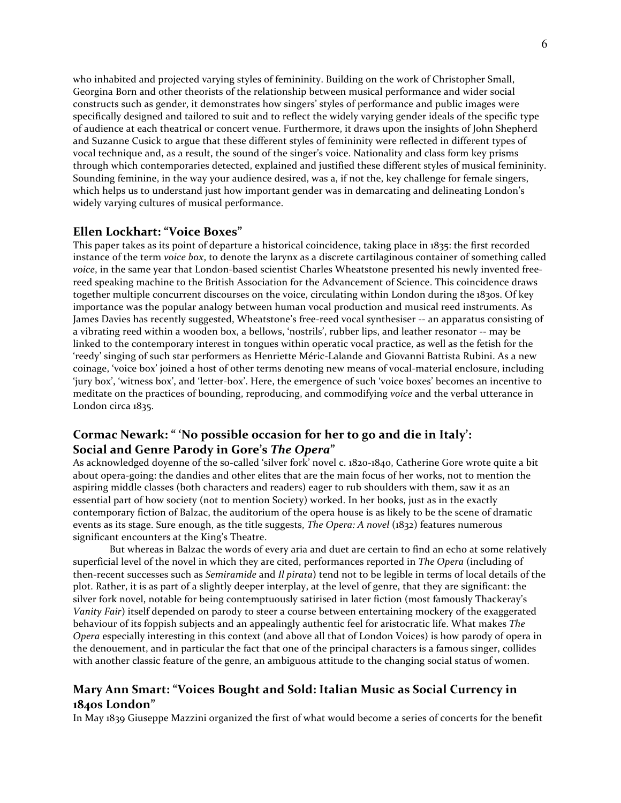who inhabited and projected varying styles of femininity. Building on the work of Christopher Small, Georgina Born and other theorists of the relationship between musical performance and wider social constructs such as gender, it demonstrates how singers' styles of performance and public images were specifically designed and tailored to suit and to reflect the widely varying gender ideals of the specific type of audience at each theatrical or concert venue. Furthermore, it draws upon the insights of John Shepherd and Suzanne Cusick to argue that these different styles of femininity were reflected in different types of vocal technique and, as a result, the sound of the singer's voice. Nationality and class form key prisms through which contemporaries detected, explained and justified these different styles of musical femininity. Sounding feminine, in the way your audience desired, was a, if not the, key challenge for female singers, which helps us to understand just how important gender was in demarcating and delineating London's widely varying cultures of musical performance.

#### **Ellen Lockhart: "Voice Boxes"**

This paper takes as its point of departure a historical coincidence, taking place in 1835: the first recorded instance of the term *voice box*, to denote the larynx as a discrete cartilaginous container of something called voice, in the same year that London-based scientist Charles Wheatstone presented his newly invented freereed speaking machine to the British Association for the Advancement of Science. This coincidence draws together multiple concurrent discourses on the voice, circulating within London during the 1830s. Of key importance was the popular analogy between human vocal production and musical reed instruments. As James Davies has recently suggested, Wheatstone's free-reed vocal synthesiser -- an apparatus consisting of a vibrating reed within a wooden box, a bellows, 'nostrils', rubber lips, and leather resonator -- may be linked to the contemporary interest in tongues within operatic vocal practice, as well as the fetish for the 'reedy' singing of such star performers as Henriette Méric-Lalande and Giovanni Battista Rubini. As a new coinage, 'voice box' joined a host of other terms denoting new means of vocal-material enclosure, including 'jury box', 'witness box', and 'letter-box'. Here, the emergence of such 'voice boxes' becomes an incentive to meditate on the practices of bounding, reproducing, and commodifying *voice* and the verbal utterance in London circa 1835.

## Cormac Newark: " 'No possible occasion for her to go and die in Italy': **Social and Genre Parody in Gore's** *The Opera***"**

As acknowledged doyenne of the so-called 'silver fork' novel c. 1820-1840, Catherine Gore wrote quite a bit about opera-going: the dandies and other elites that are the main focus of her works, not to mention the aspiring middle classes (both characters and readers) eager to rub shoulders with them, saw it as an essential part of how society (not to mention Society) worked. In her books, just as in the exactly contemporary fiction of Balzac, the auditorium of the opera house is as likely to be the scene of dramatic events as its stage. Sure enough, as the title suggests, *The Opera: A novel* (1832) features numerous significant encounters at the King's Theatre.

But whereas in Balzac the words of every aria and duet are certain to find an echo at some relatively superficial level of the novel in which they are cited, performances reported in *The Opera* (including of then-recent successes such as *Semiramide* and *Il pirata*) tend not to be legible in terms of local details of the plot. Rather, it is as part of a slightly deeper interplay, at the level of genre, that they are significant: the silver fork novel, notable for being contemptuously satirised in later fiction (most famously Thackeray's *Vanity Fair*) itself depended on parody to steer a course between entertaining mockery of the exaggerated behaviour of its foppish subjects and an appealingly authentic feel for aristocratic life. What makes *The Opera* especially interesting in this context (and above all that of London Voices) is how parody of opera in the denouement, and in particular the fact that one of the principal characters is a famous singer, collides with another classic feature of the genre, an ambiguous attitude to the changing social status of women.

## Mary Ann Smart: "Voices Bought and Sold: Italian Music as Social Currency in **1840s London"**

In May 1839 Giuseppe Mazzini organized the first of what would become a series of concerts for the benefit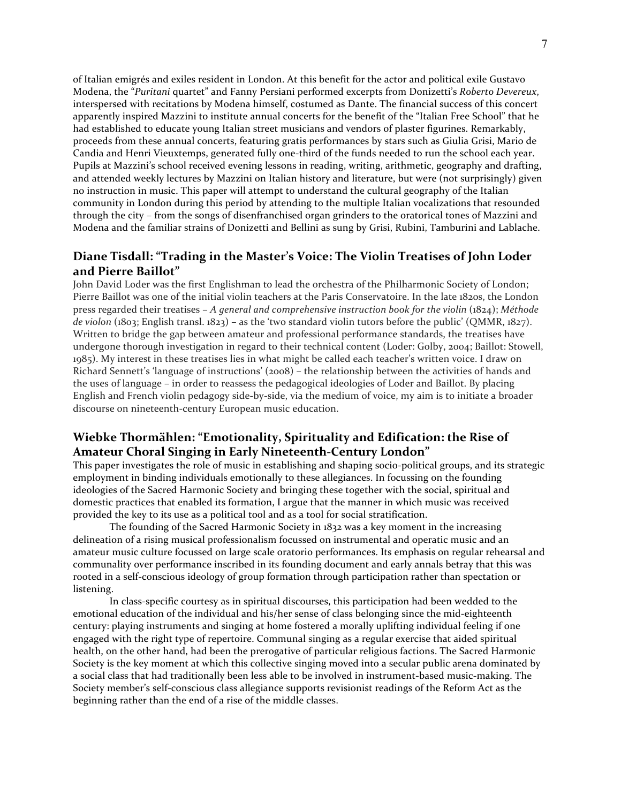of Italian emigrés and exiles resident in London. At this benefit for the actor and political exile Gustavo Modena, the "*Puritani* quartet" and Fanny Persiani performed excerpts from Donizetti's Roberto Devereux, interspersed with recitations by Modena himself, costumed as Dante. The financial success of this concert apparently inspired Mazzini to institute annual concerts for the benefit of the "Italian Free School" that he had established to educate young Italian street musicians and vendors of plaster figurines. Remarkably, proceeds from these annual concerts, featuring gratis performances by stars such as Giulia Grisi, Mario de Candia and Henri Vieuxtemps, generated fully one-third of the funds needed to run the school each year. Pupils at Mazzini's school received evening lessons in reading, writing, arithmetic, geography and drafting, and attended weekly lectures by Mazzini on Italian history and literature, but were (not surprisingly) given no instruction in music. This paper will attempt to understand the cultural geography of the Italian community in London during this period by attending to the multiple Italian vocalizations that resounded through the city – from the songs of disenfranchised organ grinders to the oratorical tones of Mazzini and Modena and the familiar strains of Donizetti and Bellini as sung by Grisi, Rubini, Tamburini and Lablache.

## Diane Tisdall: "Trading in the Master's Voice: The Violin Treatises of John Loder **and Pierre Baillot"**

John David Loder was the first Englishman to lead the orchestra of the Philharmonic Society of London; Pierre Baillot was one of the initial violin teachers at the Paris Conservatoire. In the late 1820s, the London press regarded their treatises - *A general and comprehensive instruction book for the violin* (1824); Méthode *de* violon (1803; English transl. 1823) – as the 'two standard violin tutors before the public' (QMMR, 1827). Written to bridge the gap between amateur and professional performance standards, the treatises have undergone thorough investigation in regard to their technical content (Loder: Golby, 2004; Baillot: Stowell, 1985). My interest in these treatises lies in what might be called each teacher's written voice. I draw on Richard Sennett's 'language of instructions'  $(2008)$  – the relationship between the activities of hands and the uses of language – in order to reassess the pedagogical ideologies of Loder and Baillot. By placing English and French violin pedagogy side-by-side, via the medium of voice, my aim is to initiate a broader discourse on nineteenth-century European music education.

## **Wiebke Thormählen: "Emotionality, Spirituality and Edification: the Rise of** Amateur Choral Singing in Early Nineteenth-Century London"

This paper investigates the role of music in establishing and shaping socio-political groups, and its strategic employment in binding individuals emotionally to these allegiances. In focussing on the founding ideologies of the Sacred Harmonic Society and bringing these together with the social, spiritual and domestic practices that enabled its formation, I argue that the manner in which music was received provided the key to its use as a political tool and as a tool for social stratification.

The founding of the Sacred Harmonic Society in 1832 was a key moment in the increasing delineation of a rising musical professionalism focussed on instrumental and operatic music and an amateur music culture focussed on large scale oratorio performances. Its emphasis on regular rehearsal and communality over performance inscribed in its founding document and early annals betray that this was rooted in a self-conscious ideology of group formation through participation rather than spectation or listening. 

In class-specific courtesy as in spiritual discourses, this participation had been wedded to the emotional education of the individual and his/her sense of class belonging since the mid-eighteenth century: playing instruments and singing at home fostered a morally uplifting individual feeling if one engaged with the right type of repertoire. Communal singing as a regular exercise that aided spiritual health, on the other hand, had been the prerogative of particular religious factions. The Sacred Harmonic Society is the key moment at which this collective singing moved into a secular public arena dominated by a social class that had traditionally been less able to be involved in instrument-based music-making. The Society member's self-conscious class allegiance supports revisionist readings of the Reform Act as the beginning rather than the end of a rise of the middle classes.